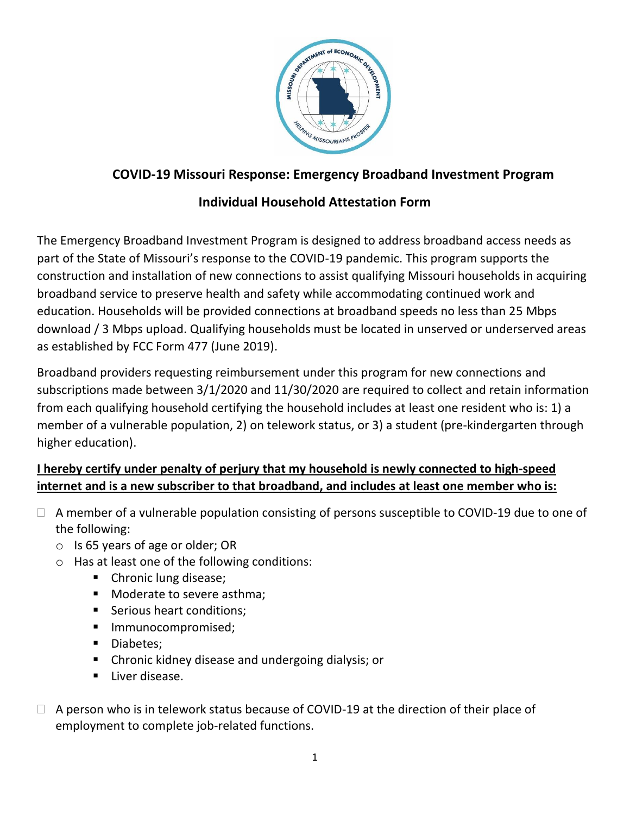

## **COVID-19 Missouri Response: Emergency Broadband Investment Program**

## **Individual Household Attestation Form**

The Emergency Broadband Investment Program is designed to address broadband access needs as part of the State of Missouri's response to the COVID-19 pandemic. This program supports the construction and installation of new connections to assist qualifying Missouri households in acquiring broadband service to preserve health and safety while accommodating continued work and education. Households will be provided connections at broadband speeds no less than 25 Mbps download / 3 Mbps upload. Qualifying households must be located in unserved or underserved areas as established by FCC Form 477 (June 2019).

Broadband providers requesting reimbursement under this program for new connections and subscriptions made between 3/1/2020 and 11/30/2020 are required to collect and retain information from each qualifying household certifying the household includes at least one resident who is: 1) a member of a vulnerable population, 2) on telework status, or 3) a student (pre-kindergarten through higher education).

## **I hereby certify under penalty of perjury that my household is newly connected to high-speed internet and is a new subscriber to that broadband, and includes at least one member who is:**

- $\Box$  A member of a vulnerable population consisting of persons susceptible to COVID-19 due to one of the following:
	- o Is 65 years of age or older; OR
	- o Has at least one of the following conditions:
		- Chronic lung disease;
		- **Moderate to severe asthma;**
		- Serious heart conditions;
		- **Immunocompromised;**
		- Diabetes;
		- Chronic kidney disease and undergoing dialysis; or
		- **Liver disease.**
- $\Box$  A person who is in telework status because of COVID-19 at the direction of their place of employment to complete job-related functions.